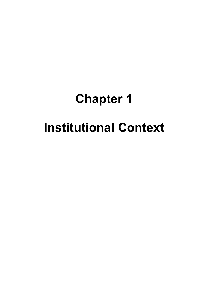# **Chapter 1 Institutional Context**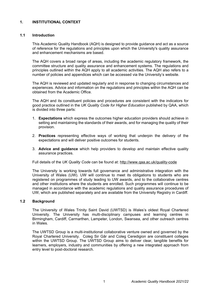# **1. INSTITUTIONAL CONTEXT**

## **1.1 Introduction**

This Academic Quality Handbook (AQH) is designed to provide guidance and act as a source of reference for the regulations and principles upon which the University's quality assurance and enhancement mechanisms are based.

The AQH covers a broad range of areas, including the academic regulatory framework, the committee structure and quality assurance and enhancement systems. The regulations and principles outlined within the AQH apply to all academic activities. The AQH also refers to a number of policies and appendices which can be accessed via the University's website.

The AQH is reviewed and updated regularly and in response to changing circumstances and experiences. Advice and information on the regulations and principles within the AQH can be obtained from the Academic Office.

The AQH and its constituent policies and procedures are consistent with the indicators for good practice outlined in the *UK Quality Code for Higher Education* published by QAA, which is divided into three parts:

- 1. **Expectations** which express the outcomes higher education providers should achieve in setting and maintaining the standards of their awards, and for managing the quality of their provision.
- 2. **Practices** representing effective ways of working that underpin the delivery of the expectations and will deliver positive outcomes for students.
- 3. **Advice and guidance** which help providers to develop and maintain effective quality assurance practices.

Full details of the *UK Quality Code* can be found at:<http://www.qaa.ac.uk/quality-code>

The University is working towards full governance and administrative integration with the University of Wales (UW). UW will continue to meet its obligations to students who are registered on programmes of study leading to UW awards, and to the collaborative centres and other institutions where the students are enrolled. Such programmes will continue to be managed in accordance with the academic regulations and quality assurance procedures of UW, which are published separately and are available from the University Registry in Cardiff.

#### **1.2 Background**

The University of Wales Trinity Saint David (UWTSD) is Wales's oldest Royal Chartered University. The University has multi-disciplinary campuses and learning centres in Birmingham, Cardiff, Carmarthen, Lampeter, London, Swansea, and other outreach centres in Wales.

The UWTSD Group is a multi-institutional collaborative venture owned and governed by the Royal Chartered University. Coleg Sir Gâr and Coleg Ceredigion are constituent colleges within the UWTSD Group. The UWTSD Group aims to deliver clear, tangible benefits for learners, employers, industry and communities by offering a new integrated approach from entry level to post-doctoral research.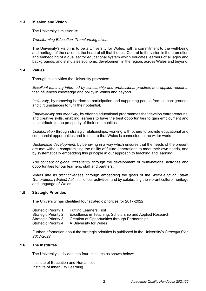## **1.3 Mission and Vision**

The University's mission is:

*Transforming Education; Transforming Lives.*

The University's vision is to be a University for Wales, with a commitment to the well-being and heritage of the nation at the heart of all that it does. Central to the vision is the promotion and embedding of a dual sector educational system which educates learners of all ages and backgrounds, and stimulates economic development in the region, across Wales and beyond.

#### **1.4 Values**

Through its activities the University promotes:

*Excellent teaching informed by scholarship and professional practice*, and *applied research* that influences knowledge and policy in Wales and beyond.

*Inclusivity*, by removing barriers to participation and supporting people from all backgrounds and circumstances to fulfil their potential.

*Employability and creativity,* by offering educational programmes that develop entrepreneurial and creative skills, enabling learners to have the best opportunities to gain employment and to contribute to the prosperity of their communities.

*Collaboration* through strategic relationships, working with others to provide educational and commercial opportunities and to ensure that Wales is connected to the wider world.

*Sustainable development*, by behaving in a way which ensures that the needs of the present are met without compromising the ability of future generations to meet their own needs, and by systematically embedding this principle in our approach to teaching and learning.

*The concept of global citizenship*, through the development of multi-national activities and opportunities for our learners, staff and partners.

*Wales and its distinctiveness*, through embedding the goals of the *Well-Being of Future Generations (Wales) Act* in all of our activities, and by celebrating the vibrant culture, heritage and language of Wales.

## **1.5 Strategic Priorities**

The University has identified four strategic priorities for 2017-2022:

| Strategic Priority 1: Putting Learners First                                   |
|--------------------------------------------------------------------------------|
| Strategic Priority 2: Excellence in Teaching, Scholarship and Applied Research |
| Strategic Priority 3: Creation of Opportunities through Partnerships           |
| Strategic Priority 4: A University for Wales                                   |

Further information about the strategic priorities is published in the University's *Strategic Plan 2017-2022*.

#### **1.6 The Institutes**

The University is divided into four Institutes as shown below:

Institute of Education and Humanities Institute of Inner City Learning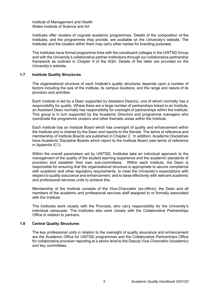Institute of Management and Health Wales Institute of Science and Art

Institutes offer clusters of cognate academic programmes. Details of the composition of the Institutes, and the programmes they provide, are available on the University's website. The Institutes and the clusters within them may carry other names for branding purposes.

The Institutes have formal programme links with the constituent colleges in the UWTSD Group and with the University's collaborative partner institutions through our collaborative partnership framework as outlined in Chapter 9 of the AQH. Details of the latter are provided on the University's website.

#### **1.7 Institute Quality Structures**

The organisational structure of each Institute's quality structures depends upon a number of factors including the size of the Institute, its campus locations, and the range and nature of its provision and activities.

Each Institute is led by a Dean supported by Assistant Dean(s), one of whom normally has a responsibility for quality. Where there are a large number of partnerships linked to an Institute, an Assistant Dean normally has responsibility for oversight of partnerships within the Institute. This group is in turn supported by the Academic Directors and programme managers who coordinate the programme clusters and other thematic areas within the Institute.

Each Institute has an Institute Board which has oversight of quality and enhancement within the Institute and is chaired by the Dean and reports to the Senate. The terms of reference and membership of Institute Boards are published in Chapter 2. In addition, Academic Disciplines have Academic Discipline Boards which report to the Institute Board (see terms of reference in Appendix IC1).

Within the overall parameters set by UWTSD, Institutes take an individual approach to the management of the quality of the student learning experience and the academic standards of provision and establish their own sub-committees. Within each Institute, the Dean is responsible for ensuring that the organisational structure is appropriate to secure compliance with academic and other regulatory requirements, to meet the University's expectations with respect to quality assurance and enhancement, and to liaise effectively with relevant academic and professional services units to achieve this.

Membership of the Institute consists of the Vice-Chancellor (ex-officio), the Dean and all members of the academic and professional services staff assigned to or formally associated with the Institute.

The Institutes work closely with the Provosts, who carry responsibility for the University's individual campuses. The Institutes also work closely with the Collaborative Partnerships Office in relation to partners.

## **1.8 Central Quality Structures**

The key professional units in relation to the oversight of quality assurance and enhancement are the Academic Office for UWTSD programmes and the Collaborative Partnerships Office for collaborative provision reporting at a senior level to the Deputy Vice-Chancellor (Academic) and key committees.